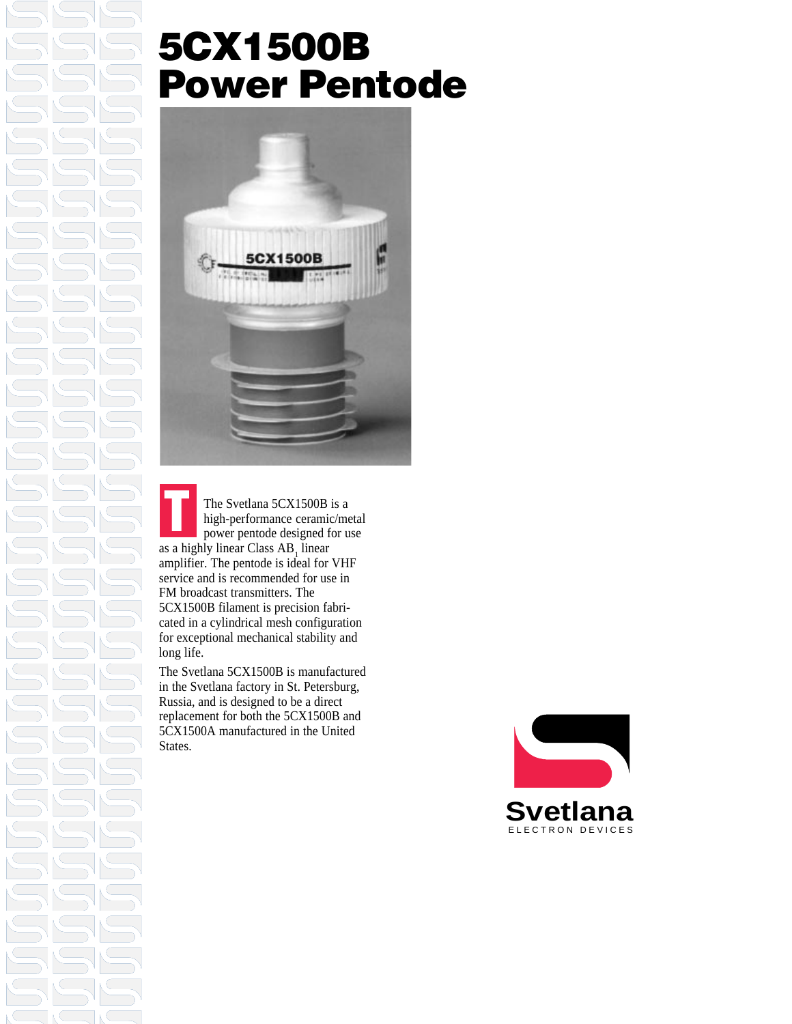### **5CX1500B Power Pentode**



The Svetlana 5CX1500B is a high-performance ceramic/metal power pentode designed for use as a highly linear Class  $AB_1$  linear amplifier. The pentode is ideal for VHF service and is recommended for use in FM broadcast transmitters. The 5CX1500B filament is precision fabricated in a cylindrical mesh configuration for exceptional mechanical stability and long life. **T**

The Svetlana 5CX1500B is manufactured in the Svetlana factory in St. Petersburg, Russia, and is designed to be a direct replacement for both the 5CX1500B and 5CX1500A manufactured in the United States.

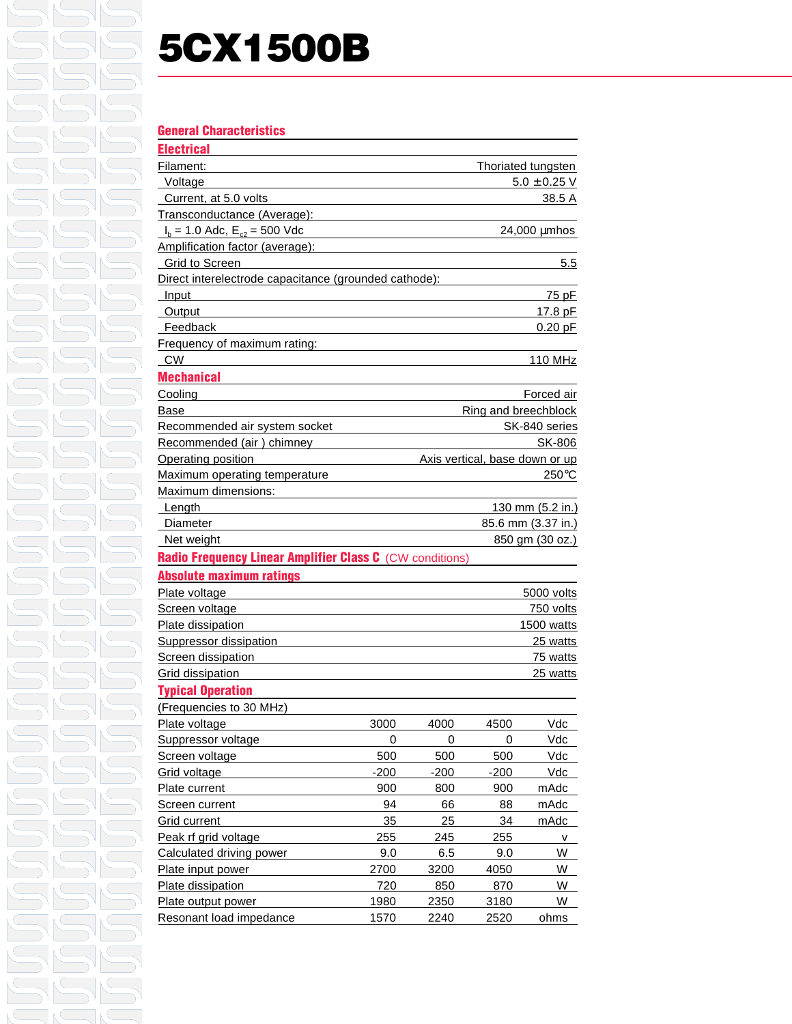# **5CX1500B**

### **General Characteristics**

| <b>Electrical</b>                                        |                                |                  |                      |                    |
|----------------------------------------------------------|--------------------------------|------------------|----------------------|--------------------|
| Filament:                                                |                                |                  |                      | Thoriated tungsten |
| Voltage                                                  |                                | $5.0 \pm 0.25$ V |                      |                    |
| Current, at 5.0 volts                                    |                                |                  |                      | 38.5 A             |
| Transconductance (Average):                              |                                |                  |                      |                    |
| $I_b = 1.0$ Adc, $E_{c2} = 500$ Vdc                      |                                |                  |                      | $24,000 \mu m$ hos |
| Amplification factor (average):                          |                                |                  |                      |                    |
| Grid to Screen                                           |                                |                  |                      | 5.5                |
| Direct interelectrode capacitance (grounded cathode):    |                                |                  |                      |                    |
| <b>Input</b>                                             |                                |                  |                      | 75 pF              |
| Output                                                   |                                | 17.8 pF          |                      |                    |
| Feedback                                                 |                                |                  |                      | $0.20$ pF          |
| Frequency of maximum rating:                             |                                |                  |                      |                    |
| <b>CW</b>                                                |                                |                  |                      | 110 MHz            |
| <b>Mechanical</b>                                        |                                |                  |                      |                    |
| Cooling                                                  |                                |                  |                      | Forced air         |
| <b>Base</b>                                              |                                |                  | Ring and breechblock |                    |
| Recommended air system socket                            | SK-840 series                  |                  |                      |                    |
| Recommended (air) chimney                                |                                |                  |                      | SK-806             |
| Operating position                                       | Axis vertical, base down or up |                  |                      |                    |
| Maximum operating temperature                            |                                |                  |                      | $250^{\circ}$ C    |
| Maximum dimensions:                                      |                                |                  |                      |                    |
| Length                                                   |                                |                  |                      | 130 mm (5.2 in.)   |
| Diameter                                                 | 85.6 mm (3.37 in.)             |                  |                      |                    |
| Net weight                                               |                                |                  |                      | 850 gm (30 oz.)    |
| Radio Frequency Linear Amplifier Class C (CW conditions) |                                |                  |                      |                    |
| <b>Absolute maximum ratings</b>                          |                                |                  |                      |                    |
| Plate voltage                                            |                                |                  |                      | 5000 volts         |
| Screen voltage                                           | 750 volts                      |                  |                      |                    |
| Plate dissipation                                        | 1500 watts                     |                  |                      |                    |
| <b>Suppressor dissipation</b>                            |                                |                  |                      | 25 watts           |
| Screen dissipation                                       |                                |                  |                      | 75 watts           |
| Grid dissipation                                         |                                |                  |                      | 25 watts           |
| <b>Typical Operation</b>                                 |                                |                  |                      |                    |
| (Frequencies to 30 MHz)                                  |                                |                  |                      |                    |
| Plate voltage                                            | 3000                           | 4000             | 4500                 | <b>Vdc</b>         |
| Suppressor voltage                                       | 0                              | 0                | 0                    | Vdc                |
| Screen voltage                                           | 500                            | 500              | 500                  | Vdc                |
| Grid voltage                                             | $-200$                         | $-200$           | $-200$               | Vdc                |
| Plate current                                            | 900                            | 800              | 900                  | mAdc               |
| Screen current                                           | 94                             | 66               | 88                   | mAdc               |
| Grid current                                             | 35                             | 25               | 34                   | mAdc               |
| Peak rf grid voltage                                     | 255                            | 245              | 255                  | ۷                  |
| Calculated driving power                                 | 9.0                            | 6.5              | 9.0                  | W                  |
| Plate input power                                        | 2700                           | 3200             | 4050                 | W                  |
| Plate dissipation                                        | 720                            | 850              | 870                  | W                  |
| Plate output power                                       | 1980                           | 2350             | 3180                 | W                  |
| Resonant load impedance                                  | 1570                           | 2240             | 2520                 | ohms               |
|                                                          |                                |                  |                      |                    |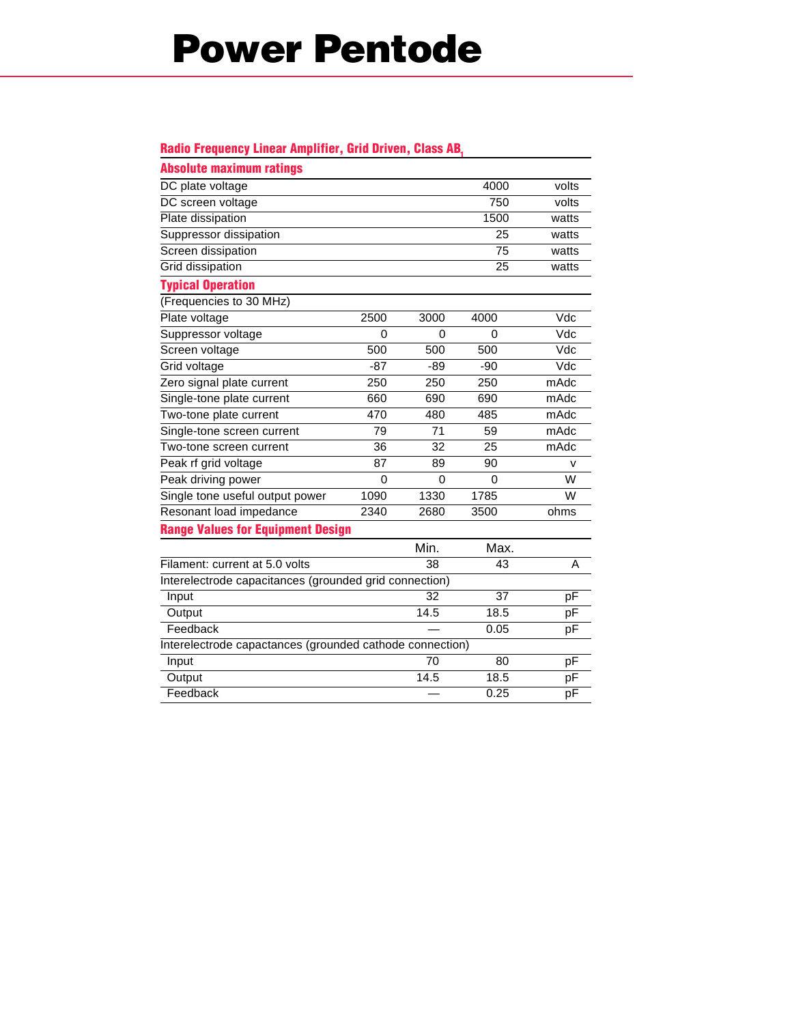## **Power Pentode**

#### **Radio Frequency Linear Amplifier, Grid Driven, Class AB,**

| <b>Absolute maximum ratings</b>                          |       |       |       |       |  |  |  |
|----------------------------------------------------------|-------|-------|-------|-------|--|--|--|
| DC plate voltage                                         |       |       | 4000  | volts |  |  |  |
| DC screen voltage                                        |       |       | 750   | volts |  |  |  |
| Plate dissipation                                        |       |       | 1500  | watts |  |  |  |
| Suppressor dissipation                                   |       |       | 25    | watts |  |  |  |
| Screen dissipation                                       |       |       | 75    | watts |  |  |  |
| Grid dissipation                                         |       |       | 25    | watts |  |  |  |
| <b>Typical Operation</b>                                 |       |       |       |       |  |  |  |
| (Frequencies to 30 MHz)                                  |       |       |       |       |  |  |  |
| Plate voltage                                            | 2500  | 3000  | 4000  | Vdc   |  |  |  |
| Suppressor voltage                                       | 0     | 0     | 0     | Vdc   |  |  |  |
| Screen voltage                                           | 500   | 500   | 500   | Vdc   |  |  |  |
| Grid voltage                                             | $-87$ | $-89$ | $-90$ | Vdc   |  |  |  |
| Zero signal plate current                                | 250   | 250   | 250   | mAdc  |  |  |  |
| Single-tone plate current                                | 660   | 690   | 690   | mAdc  |  |  |  |
| Two-tone plate current                                   | 470   | 480   | 485   | mAdc  |  |  |  |
| Single-tone screen current                               | 79    | 71    | 59    | mAdc  |  |  |  |
| Two-tone screen current                                  | 36    | 32    | 25    | mAdc  |  |  |  |
| Peak rf grid voltage                                     | 87    | 89    | 90    | v     |  |  |  |
| Peak driving power                                       | 0     | 0     | 0     | W     |  |  |  |
| Single tone useful output power                          | 1090  | 1330  | 1785  | W     |  |  |  |
| Resonant load impedance                                  | 2340  | 2680  | 3500  | ohms  |  |  |  |
| <b>Range Values for Equipment Design</b>                 |       |       |       |       |  |  |  |
|                                                          |       | Min.  | Max.  |       |  |  |  |
| Filament: current at 5.0 volts                           |       | 38    | 43    | A     |  |  |  |
| Interelectrode capacitances (grounded grid connection)   |       |       |       |       |  |  |  |
| Input                                                    |       | 32    | 37    | pF    |  |  |  |
| Output                                                   |       | 14.5  | 18.5  | pF    |  |  |  |
| Feedback                                                 |       |       | 0.05  | pF    |  |  |  |
| Interelectrode capactances (grounded cathode connection) |       |       |       |       |  |  |  |
| Input                                                    |       | 70    | 80    | pF    |  |  |  |
| Output                                                   |       | 14.5  | 18.5  | pF    |  |  |  |
| Feedback                                                 |       |       | 0.25  | pF    |  |  |  |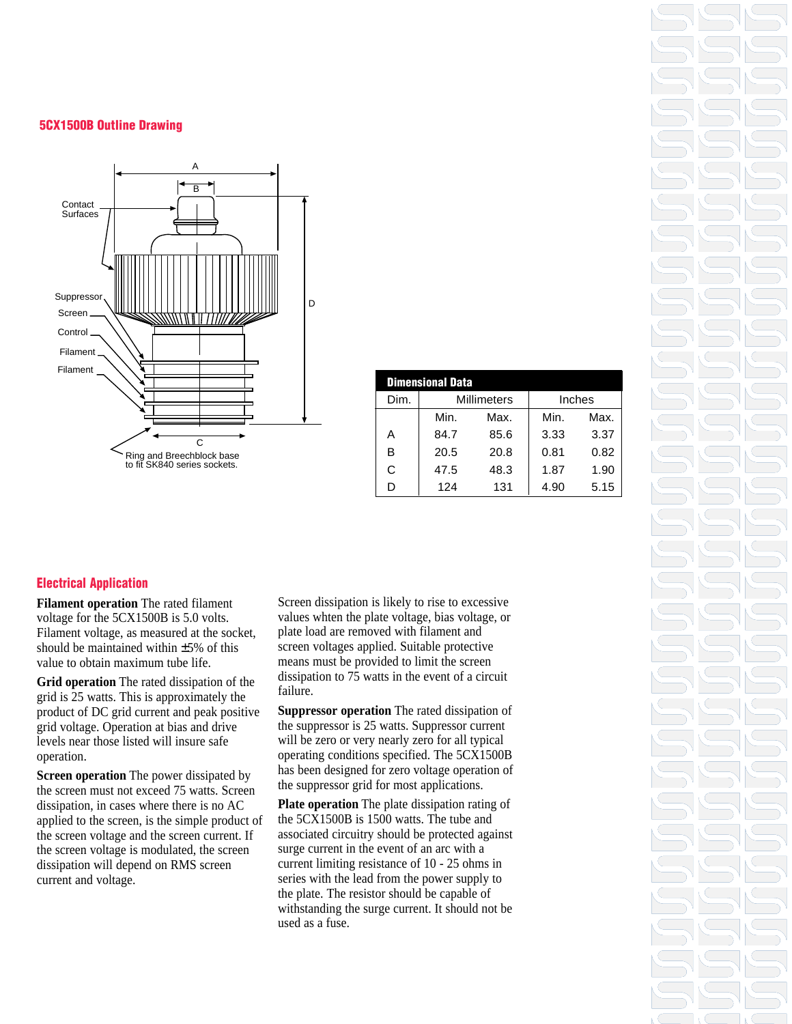#### **5CX1500B Outline Drawing**



| <b>Dimensional Data</b> |                    |      |        |      |  |
|-------------------------|--------------------|------|--------|------|--|
| Dim.                    | <b>Millimeters</b> |      | Inches |      |  |
|                         | Min.               | Max. | Min.   | Max. |  |
| А                       | 84.7               | 85.6 | 3.33   | 3.37 |  |
| в                       | 20.5               | 20.8 | 0.81   | 0.82 |  |
| C                       | 47.5               | 48.3 | 1.87   | 1.90 |  |
| ח                       | 124                | 131  | 4.90   | 5.15 |  |

#### **Electrical Application**

**Filament operation** The rated filament voltage for the 5CX1500B is 5.0 volts. Filament voltage, as measured at the socket, should be maintained within ±5% of this value to obtain maximum tube life.

**Grid operation** The rated dissipation of the grid is 25 watts. This is approximately the product of DC grid current and peak positive grid voltage. Operation at bias and drive levels near those listed will insure safe operation.

**Screen operation** The power dissipated by the screen must not exceed 75 watts. Screen dissipation, in cases where there is no AC applied to the screen, is the simple product of the screen voltage and the screen current. If the screen voltage is modulated, the screen dissipation will depend on RMS screen current and voltage.

Screen dissipation is likely to rise to excessive values whten the plate voltage, bias voltage, or plate load are removed with filament and screen voltages applied. Suitable protective means must be provided to limit the screen dissipation to 75 watts in the event of a circuit failure.

**Suppressor operation** The rated dissipation of the suppressor is 25 watts. Suppressor current will be zero or very nearly zero for all typical operating conditions specified. The 5CX1500B has been designed for zero voltage operation of the suppressor grid for most applications.

**Plate operation** The plate dissipation rating of the 5CX1500B is 1500 watts. The tube and associated circuitry should be protected against surge current in the event of an arc with a current limiting resistance of 10 - 25 ohms in series with the lead from the power supply to the plate. The resistor should be capable of withstanding the surge current. It should not be used as a fuse.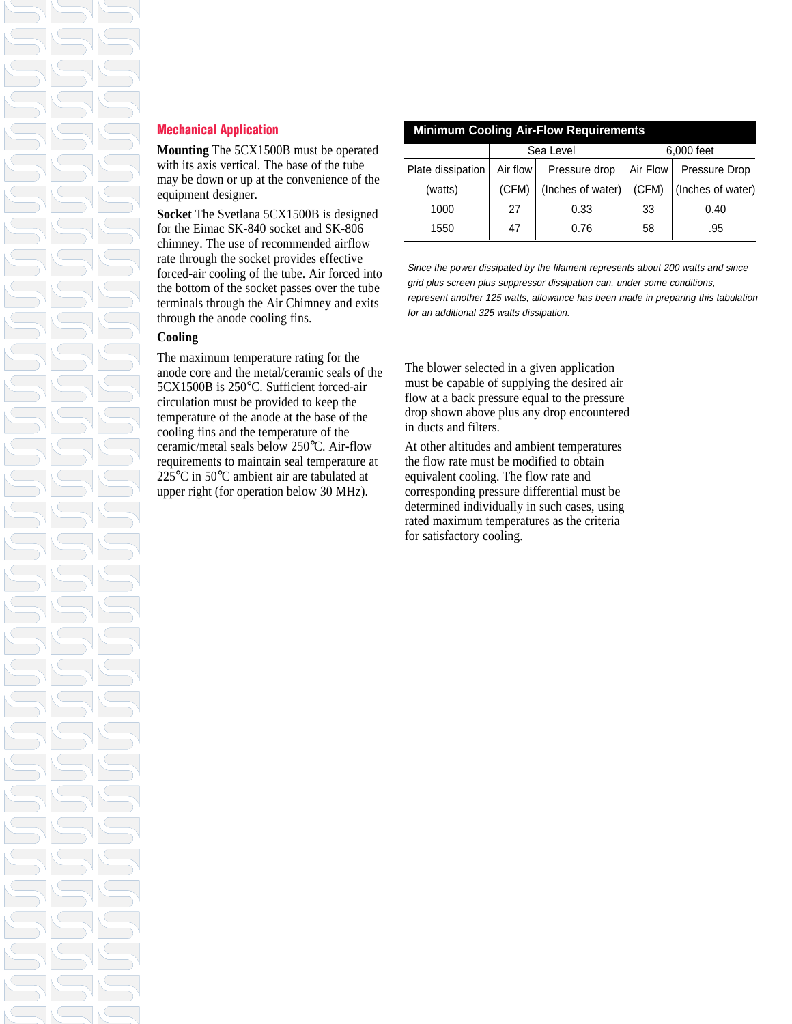### **Mechanical Application**

**Mounting** The 5CX1500B must be operated with its axis vertical. The base of the tube may be down or up at the convenience of the equipment designer.

**Socket** The Svetlana 5CX1500B is designed for the Eimac SK-840 socket and SK-806 chimney. The use of recommended airflow rate through the socket provides effective forced-air cooling of the tube. Air forced into the bottom of the socket passes over the tube terminals through the Air Chimney and exits through the anode cooling fins.

#### **Cooling**

The maximum temperature rating for the anode core and the metal/ceramic seals of the 5CX1500B is 250°C. Sufficient forced-air circulation must be provided to keep the temperature of the anode at the base of the cooling fins and the temperature of the ceramic/metal seals below 250°C. Air-flow requirements to maintain seal temperature at 225°C in 50°C ambient air are tabulated at upper right (for operation below 30 MHz).

| <b>Minimum Cooling Air-Flow Requirements</b> |           |                   |            |                   |  |
|----------------------------------------------|-----------|-------------------|------------|-------------------|--|
|                                              | Sea Level |                   | 6,000 feet |                   |  |
| Plate dissipation                            | Air flow  | Pressure drop     | Air Flow   | Pressure Drop     |  |
| (watts)                                      | (CFM)     | (Inches of water) | (CFM)      | (Inches of water) |  |
| 1000                                         | 27        | 0.33              | 33         | 0.40              |  |
| 1550                                         | 47        | 0.76              | 58         | .95               |  |

Since the power dissipated by the filament represents about 200 watts and since grid plus screen plus suppressor dissipation can, under some conditions, represent another 125 watts, allowance has been made in preparing this tabulation for an additional 325 watts dissipation.

The blower selected in a given application must be capable of supplying the desired air flow at a back pressure equal to the pressure drop shown above plus any drop encountered in ducts and filters.

At other altitudes and ambient temperatures the flow rate must be modified to obtain equivalent cooling. The flow rate and corresponding pressure differential must be determined individually in such cases, using rated maximum temperatures as the criteria for satisfactory cooling.